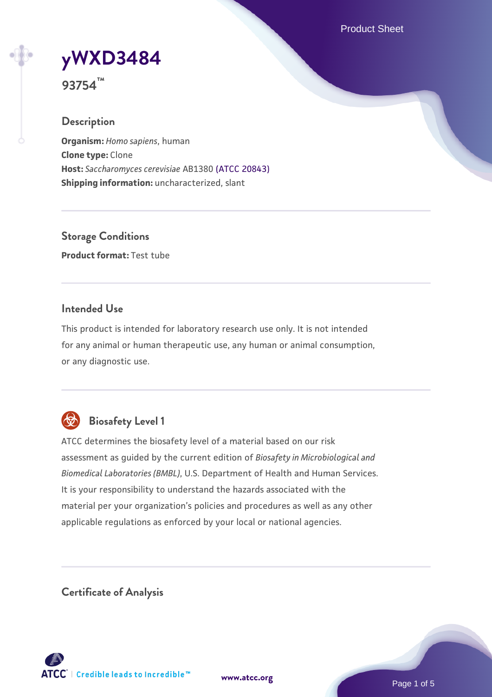Product Sheet

# **[yWXD3484](https://www.atcc.org/products/93754)**

**93754™**

# **Description**

**Organism:** *Homo sapiens*, human **Clone type:** Clone **Host:** *Saccharomyces cerevisiae* AB1380 [\(ATCC 20843\)](https://www.atcc.org/products/20843) **Shipping information:** uncharacterized, slant

**Storage Conditions Product format:** Test tube

# **Intended Use**

This product is intended for laboratory research use only. It is not intended for any animal or human therapeutic use, any human or animal consumption, or any diagnostic use.



# **Biosafety Level 1**

ATCC determines the biosafety level of a material based on our risk assessment as guided by the current edition of *Biosafety in Microbiological and Biomedical Laboratories (BMBL)*, U.S. Department of Health and Human Services. It is your responsibility to understand the hazards associated with the material per your organization's policies and procedures as well as any other applicable regulations as enforced by your local or national agencies.

**Certificate of Analysis**

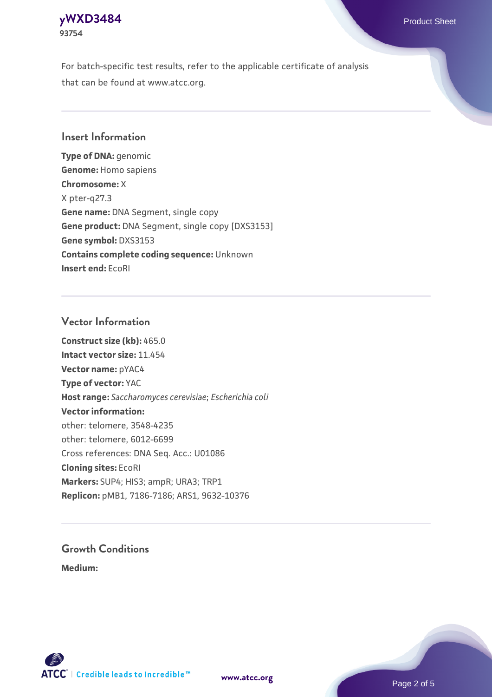#### **[yWXD3484](https://www.atcc.org/products/93754)** Product Sheet **93754**

For batch-specific test results, refer to the applicable certificate of analysis that can be found at www.atcc.org.

## **Insert Information**

**Type of DNA:** genomic **Genome:** Homo sapiens **Chromosome:** X X pter-q27.3 **Gene name:** DNA Segment, single copy **Gene product:** DNA Segment, single copy [DXS3153] **Gene symbol:** DXS3153 **Contains complete coding sequence:** Unknown **Insert end:** EcoRI

#### **Vector Information**

**Construct size (kb):** 465.0 **Intact vector size:** 11.454 **Vector name:** pYAC4 **Type of vector:** YAC **Host range:** *Saccharomyces cerevisiae*; *Escherichia coli* **Vector information:** other: telomere, 3548-4235 other: telomere, 6012-6699 Cross references: DNA Seq. Acc.: U01086 **Cloning sites:** EcoRI **Markers:** SUP4; HIS3; ampR; URA3; TRP1 **Replicon:** pMB1, 7186-7186; ARS1, 9632-10376

# **Growth Conditions**

**Medium:** 



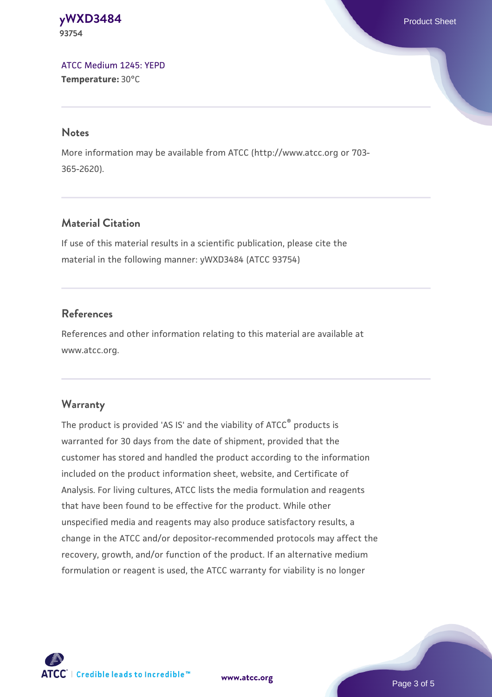#### **[yWXD3484](https://www.atcc.org/products/93754)** Product Sheet **93754**

[ATCC Medium 1245: YEPD](https://www.atcc.org/-/media/product-assets/documents/microbial-media-formulations/1/2/4/5/atcc-medium-1245.pdf?rev=705ca55d1b6f490a808a965d5c072196) **Temperature:** 30°C

#### **Notes**

More information may be available from ATCC (http://www.atcc.org or 703- 365-2620).

# **Material Citation**

If use of this material results in a scientific publication, please cite the material in the following manner: yWXD3484 (ATCC 93754)

# **References**

References and other information relating to this material are available at www.atcc.org.

# **Warranty**

The product is provided 'AS IS' and the viability of ATCC® products is warranted for 30 days from the date of shipment, provided that the customer has stored and handled the product according to the information included on the product information sheet, website, and Certificate of Analysis. For living cultures, ATCC lists the media formulation and reagents that have been found to be effective for the product. While other unspecified media and reagents may also produce satisfactory results, a change in the ATCC and/or depositor-recommended protocols may affect the recovery, growth, and/or function of the product. If an alternative medium formulation or reagent is used, the ATCC warranty for viability is no longer

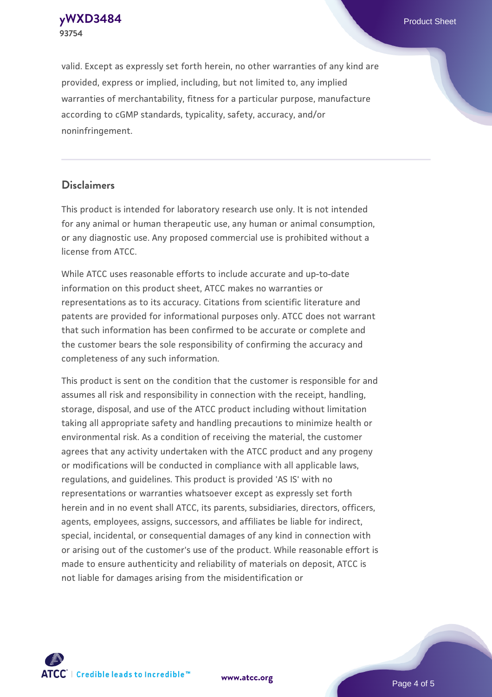**93754**

valid. Except as expressly set forth herein, no other warranties of any kind are provided, express or implied, including, but not limited to, any implied warranties of merchantability, fitness for a particular purpose, manufacture according to cGMP standards, typicality, safety, accuracy, and/or noninfringement.

#### **Disclaimers**

This product is intended for laboratory research use only. It is not intended for any animal or human therapeutic use, any human or animal consumption, or any diagnostic use. Any proposed commercial use is prohibited without a license from ATCC.

While ATCC uses reasonable efforts to include accurate and up-to-date information on this product sheet, ATCC makes no warranties or representations as to its accuracy. Citations from scientific literature and patents are provided for informational purposes only. ATCC does not warrant that such information has been confirmed to be accurate or complete and the customer bears the sole responsibility of confirming the accuracy and completeness of any such information.

This product is sent on the condition that the customer is responsible for and assumes all risk and responsibility in connection with the receipt, handling, storage, disposal, and use of the ATCC product including without limitation taking all appropriate safety and handling precautions to minimize health or environmental risk. As a condition of receiving the material, the customer agrees that any activity undertaken with the ATCC product and any progeny or modifications will be conducted in compliance with all applicable laws, regulations, and guidelines. This product is provided 'AS IS' with no representations or warranties whatsoever except as expressly set forth herein and in no event shall ATCC, its parents, subsidiaries, directors, officers, agents, employees, assigns, successors, and affiliates be liable for indirect, special, incidental, or consequential damages of any kind in connection with or arising out of the customer's use of the product. While reasonable effort is made to ensure authenticity and reliability of materials on deposit, ATCC is not liable for damages arising from the misidentification or



**[www.atcc.org](http://www.atcc.org)**

Page 4 of 5